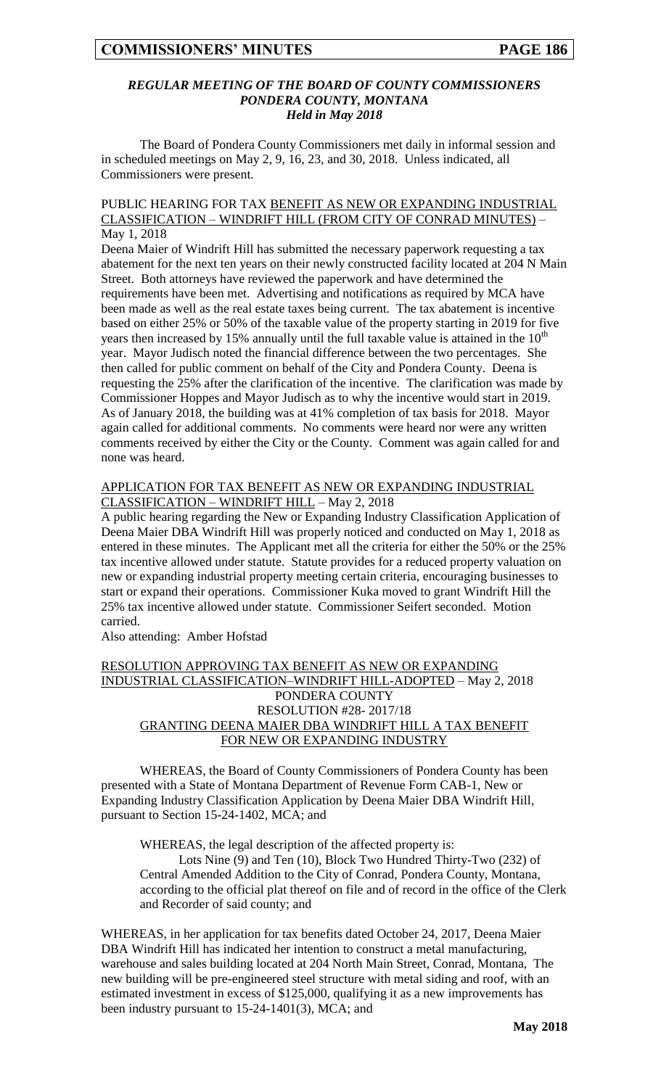## *REGULAR MEETING OF THE BOARD OF COUNTY COMMISSIONERS PONDERA COUNTY, MONTANA Held in May 2018*

The Board of Pondera County Commissioners met daily in informal session and in scheduled meetings on May 2, 9, 16, 23, and 30, 2018. Unless indicated, all Commissioners were present.

## PUBLIC HEARING FOR TAX BENEFIT AS NEW OR EXPANDING INDUSTRIAL CLASSIFICATION – WINDRIFT HILL (FROM CITY OF CONRAD MINUTES) – May 1, 2018

Deena Maier of Windrift Hill has submitted the necessary paperwork requesting a tax abatement for the next ten years on their newly constructed facility located at 204 N Main Street. Both attorneys have reviewed the paperwork and have determined the requirements have been met. Advertising and notifications as required by MCA have been made as well as the real estate taxes being current. The tax abatement is incentive based on either 25% or 50% of the taxable value of the property starting in 2019 for five years then increased by 15% annually until the full taxable value is attained in the  $10<sup>th</sup>$ year. Mayor Judisch noted the financial difference between the two percentages. She then called for public comment on behalf of the City and Pondera County. Deena is requesting the 25% after the clarification of the incentive. The clarification was made by Commissioner Hoppes and Mayor Judisch as to why the incentive would start in 2019. As of January 2018, the building was at 41% completion of tax basis for 2018. Mayor again called for additional comments. No comments were heard nor were any written comments received by either the City or the County. Comment was again called for and none was heard.

# APPLICATION FOR TAX BENEFIT AS NEW OR EXPANDING INDUSTRIAL CLASSIFICATION – WINDRIFT HILL – May 2, 2018

A public hearing regarding the New or Expanding Industry Classification Application of Deena Maier DBA Windrift Hill was properly noticed and conducted on May 1, 2018 as entered in these minutes. The Applicant met all the criteria for either the 50% or the 25% tax incentive allowed under statute. Statute provides for a reduced property valuation on new or expanding industrial property meeting certain criteria, encouraging businesses to start or expand their operations. Commissioner Kuka moved to grant Windrift Hill the 25% tax incentive allowed under statute. Commissioner Seifert seconded. Motion carried.

Also attending: Amber Hofstad

## RESOLUTION APPROVING TAX BENEFIT AS NEW OR EXPANDING INDUSTRIAL CLASSIFICATION–WINDRIFT HILL-ADOPTED – May 2, 2018 PONDERA COUNTY RESOLUTION #28- 2017/18 GRANTING DEENA MAIER DBA WINDRIFT HILL A TAX BENEFIT FOR NEW OR EXPANDING INDUSTRY

WHEREAS, the Board of County Commissioners of Pondera County has been presented with a State of Montana Department of Revenue Form CAB-1, New or Expanding Industry Classification Application by Deena Maier DBA Windrift Hill, pursuant to Section 15-24-1402, MCA; and

WHEREAS, the legal description of the affected property is:

Lots Nine (9) and Ten (10), Block Two Hundred Thirty-Two (232) of Central Amended Addition to the City of Conrad, Pondera County, Montana, according to the official plat thereof on file and of record in the office of the Clerk and Recorder of said county; and

WHEREAS, in her application for tax benefits dated October 24, 2017, Deena Maier DBA Windrift Hill has indicated her intention to construct a metal manufacturing, warehouse and sales building located at 204 North Main Street, Conrad, Montana, The new building will be pre-engineered steel structure with metal siding and roof, with an estimated investment in excess of \$125,000, qualifying it as a new improvements has been industry pursuant to 15-24-1401(3), MCA; and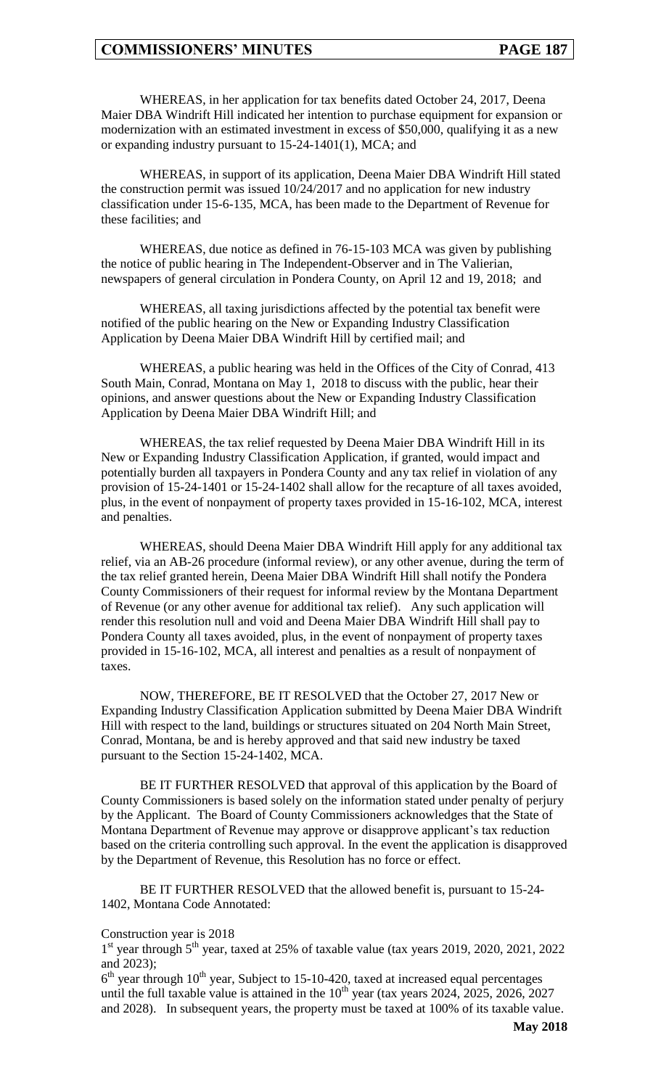WHEREAS, in her application for tax benefits dated October 24, 2017, Deena Maier DBA Windrift Hill indicated her intention to purchase equipment for expansion or modernization with an estimated investment in excess of \$50,000, qualifying it as a new or expanding industry pursuant to 15-24-1401(1), MCA; and

WHEREAS, in support of its application, Deena Maier DBA Windrift Hill stated the construction permit was issued 10/24/2017 and no application for new industry classification under 15-6-135, MCA, has been made to the Department of Revenue for these facilities; and

WHEREAS, due notice as defined in 76-15-103 MCA was given by publishing the notice of public hearing in The Independent-Observer and in The Valierian, newspapers of general circulation in Pondera County, on April 12 and 19, 2018; and

WHEREAS, all taxing jurisdictions affected by the potential tax benefit were notified of the public hearing on the New or Expanding Industry Classification Application by Deena Maier DBA Windrift Hill by certified mail; and

WHEREAS, a public hearing was held in the Offices of the City of Conrad, 413 South Main, Conrad, Montana on May 1, 2018 to discuss with the public, hear their opinions, and answer questions about the New or Expanding Industry Classification Application by Deena Maier DBA Windrift Hill; and

WHEREAS, the tax relief requested by Deena Maier DBA Windrift Hill in its New or Expanding Industry Classification Application, if granted, would impact and potentially burden all taxpayers in Pondera County and any tax relief in violation of any provision of 15-24-1401 or 15-24-1402 shall allow for the recapture of all taxes avoided, plus, in the event of nonpayment of property taxes provided in 15-16-102, MCA, interest and penalties.

WHEREAS, should Deena Maier DBA Windrift Hill apply for any additional tax relief, via an AB-26 procedure (informal review), or any other avenue, during the term of the tax relief granted herein, Deena Maier DBA Windrift Hill shall notify the Pondera County Commissioners of their request for informal review by the Montana Department of Revenue (or any other avenue for additional tax relief). Any such application will render this resolution null and void and Deena Maier DBA Windrift Hill shall pay to Pondera County all taxes avoided, plus, in the event of nonpayment of property taxes provided in 15-16-102, MCA, all interest and penalties as a result of nonpayment of taxes.

NOW, THEREFORE, BE IT RESOLVED that the October 27, 2017 New or Expanding Industry Classification Application submitted by Deena Maier DBA Windrift Hill with respect to the land, buildings or structures situated on 204 North Main Street, Conrad, Montana, be and is hereby approved and that said new industry be taxed pursuant to the Section 15-24-1402, MCA.

BE IT FURTHER RESOLVED that approval of this application by the Board of County Commissioners is based solely on the information stated under penalty of perjury by the Applicant. The Board of County Commissioners acknowledges that the State of Montana Department of Revenue may approve or disapprove applicant's tax reduction based on the criteria controlling such approval. In the event the application is disapproved by the Department of Revenue, this Resolution has no force or effect.

BE IT FURTHER RESOLVED that the allowed benefit is, pursuant to 15-24- 1402, Montana Code Annotated:

#### Construction year is 2018

1<sup>st</sup> year through 5<sup>th</sup> year, taxed at 25% of taxable value (tax years 2019, 2020, 2021, 2022 and 2023);

 $6<sup>th</sup>$  year through 10<sup>th</sup> year, Subject to 15-10-420, taxed at increased equal percentages until the full taxable value is attained in the  $10^{th}$  year (tax years 2024, 2025, 2026, 2027 and 2028). In subsequent years, the property must be taxed at 100% of its taxable value.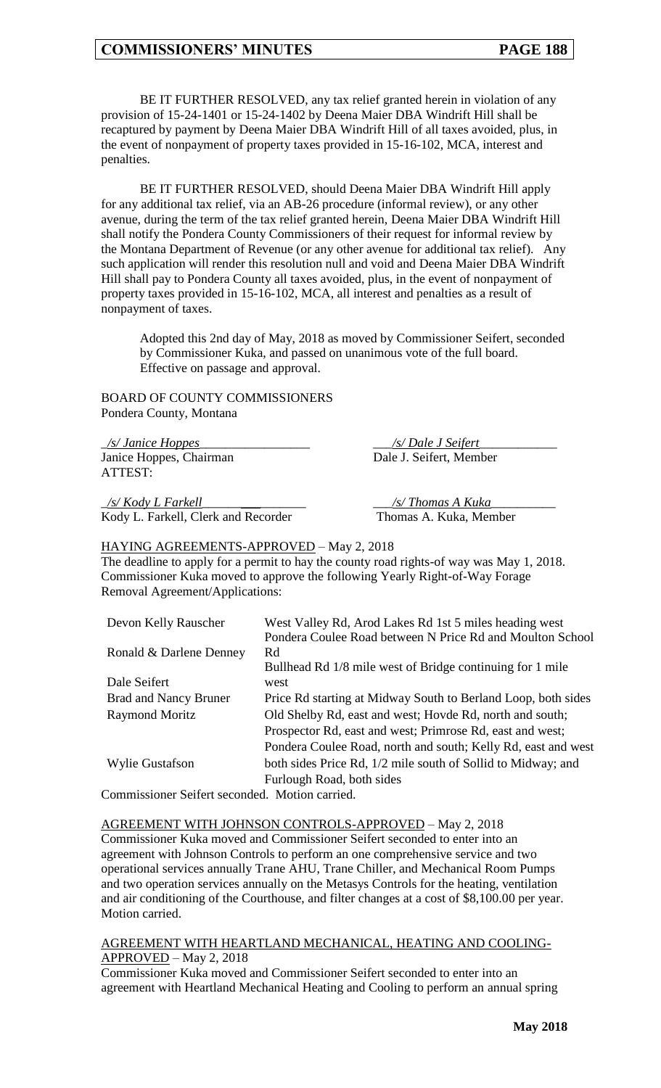BE IT FURTHER RESOLVED, any tax relief granted herein in violation of any provision of 15-24-1401 or 15-24-1402 by Deena Maier DBA Windrift Hill shall be recaptured by payment by Deena Maier DBA Windrift Hill of all taxes avoided, plus, in the event of nonpayment of property taxes provided in 15-16-102, MCA, interest and penalties.

BE IT FURTHER RESOLVED, should Deena Maier DBA Windrift Hill apply for any additional tax relief, via an AB-26 procedure (informal review), or any other avenue, during the term of the tax relief granted herein, Deena Maier DBA Windrift Hill shall notify the Pondera County Commissioners of their request for informal review by the Montana Department of Revenue (or any other avenue for additional tax relief). Any such application will render this resolution null and void and Deena Maier DBA Windrift Hill shall pay to Pondera County all taxes avoided, plus, in the event of nonpayment of property taxes provided in 15-16-102, MCA, all interest and penalties as a result of nonpayment of taxes.

Adopted this 2nd day of May, 2018 as moved by Commissioner Seifert, seconded by Commissioner Kuka, and passed on unanimous vote of the full board. Effective on passage and approval.

BOARD OF COUNTY COMMISSIONERS Pondera County, Montana

\_*/s/ Janice Hoppes*\_\_\_\_\_\_\_\_\_\_\_\_\_\_\_\_\_ \_\_\_*/s/ Dale J Seifert*\_\_\_\_\_\_\_\_\_\_\_\_ Janice Hoppes, Chairman Dale J. Seifert, Member ATTEST:

\_*/s/ Kody L Farkell*\_\_\_\_\_\_*\_\_\_*\_\_\_\_\_\_\_ \_\_\_*/s/ Thomas A Kuka*\_\_\_\_\_\_\_\_\_\_ Kody L. Farkell, Clerk and Recorder Thomas A. Kuka, Member

#### HAYING AGREEMENTS-APPROVED – May 2, 2018

The deadline to apply for a permit to hay the county road rights-of way was May 1, 2018. Commissioner Kuka moved to approve the following Yearly Right-of-Way Forage Removal Agreement/Applications:

| Devon Kelly Rauscher         | West Valley Rd, Arod Lakes Rd 1st 5 miles heading west        |
|------------------------------|---------------------------------------------------------------|
|                              | Pondera Coulee Road between N Price Rd and Moulton School     |
| Ronald & Darlene Denney      | Rd                                                            |
|                              | Bullhead Rd 1/8 mile west of Bridge continuing for 1 mile     |
| Dale Seifert                 | west                                                          |
| <b>Brad and Nancy Bruner</b> | Price Rd starting at Midway South to Berland Loop, both sides |
| <b>Raymond Moritz</b>        | Old Shelby Rd, east and west; Hovde Rd, north and south;      |
|                              | Prospector Rd, east and west; Primrose Rd, east and west;     |
|                              | Pondera Coulee Road, north and south; Kelly Rd, east and west |
| <b>Wylie Gustafson</b>       | both sides Price Rd, 1/2 mile south of Sollid to Midway; and  |
|                              | Furlough Road, both sides                                     |

Commissioner Seifert seconded. Motion carried.

## AGREEMENT WITH JOHNSON CONTROLS-APPROVED – May 2, 2018 Commissioner Kuka moved and Commissioner Seifert seconded to enter into an agreement with Johnson Controls to perform an one comprehensive service and two operational services annually Trane AHU, Trane Chiller, and Mechanical Room Pumps and two operation services annually on the Metasys Controls for the heating, ventilation and air conditioning of the Courthouse, and filter changes at a cost of \$8,100.00 per year. Motion carried.

#### AGREEMENT WITH HEARTLAND MECHANICAL, HEATING AND COOLING- $APPROVED - May 2, 2018$

Commissioner Kuka moved and Commissioner Seifert seconded to enter into an agreement with Heartland Mechanical Heating and Cooling to perform an annual spring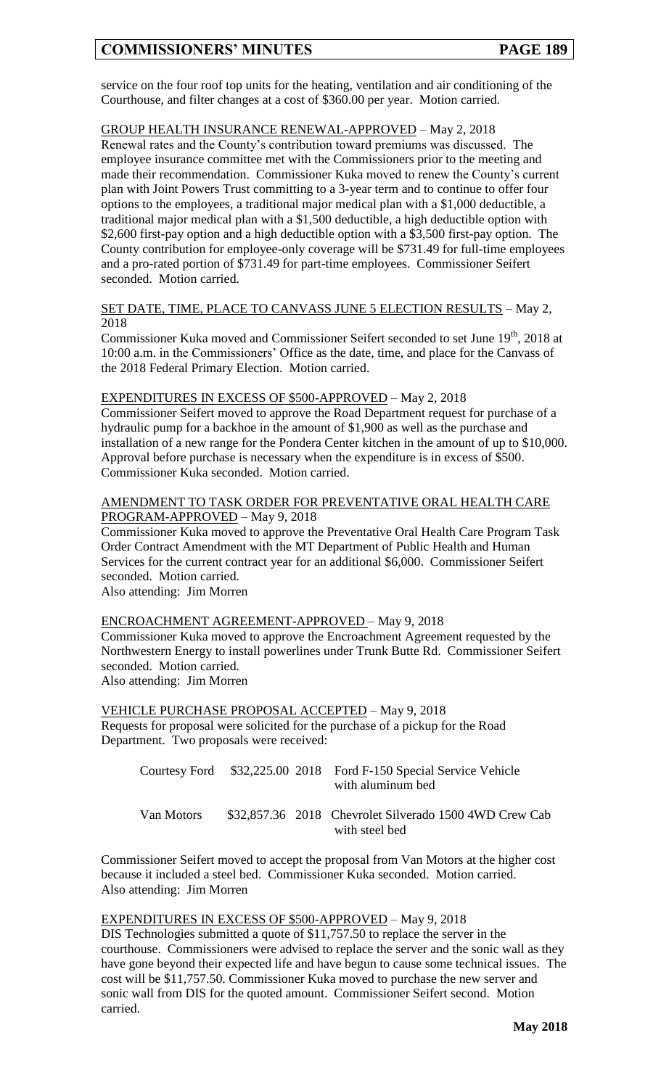service on the four roof top units for the heating, ventilation and air conditioning of the Courthouse, and filter changes at a cost of \$360.00 per year. Motion carried.

# GROUP HEALTH INSURANCE RENEWAL-APPROVED – May 2, 2018

Renewal rates and the County's contribution toward premiums was discussed. The employee insurance committee met with the Commissioners prior to the meeting and made their recommendation. Commissioner Kuka moved to renew the County's current plan with Joint Powers Trust committing to a 3-year term and to continue to offer four options to the employees, a traditional major medical plan with a \$1,000 deductible, a traditional major medical plan with a \$1,500 deductible, a high deductible option with \$2,600 first-pay option and a high deductible option with a \$3,500 first-pay option. The County contribution for employee-only coverage will be \$731.49 for full-time employees and a pro-rated portion of \$731.49 for part-time employees. Commissioner Seifert seconded. Motion carried.

SET DATE, TIME, PLACE TO CANVASS JUNE 5 ELECTION RESULTS – May 2, 2018

Commissioner Kuka moved and Commissioner Seifert seconded to set June 19<sup>th</sup>, 2018 at 10:00 a.m. in the Commissioners' Office as the date, time, and place for the Canvass of the 2018 Federal Primary Election. Motion carried.

### EXPENDITURES IN EXCESS OF \$500-APPROVED – May 2, 2018

Commissioner Seifert moved to approve the Road Department request for purchase of a hydraulic pump for a backhoe in the amount of \$1,900 as well as the purchase and installation of a new range for the Pondera Center kitchen in the amount of up to \$10,000. Approval before purchase is necessary when the expenditure is in excess of \$500. Commissioner Kuka seconded. Motion carried.

#### AMENDMENT TO TASK ORDER FOR PREVENTATIVE ORAL HEALTH CARE PROGRAM-APPROVED – May 9, 2018

Commissioner Kuka moved to approve the Preventative Oral Health Care Program Task Order Contract Amendment with the MT Department of Public Health and Human Services for the current contract year for an additional \$6,000. Commissioner Seifert seconded. Motion carried.

Also attending: Jim Morren

ENCROACHMENT AGREEMENT-APPROVED – May 9, 2018 Commissioner Kuka moved to approve the Encroachment Agreement requested by the Northwestern Energy to install powerlines under Trunk Butte Rd. Commissioner Seifert seconded. Motion carried.

Also attending: Jim Morren

VEHICLE PURCHASE PROPOSAL ACCEPTED – May 9, 2018 Requests for proposal were solicited for the purchase of a pickup for the Road Department. Two proposals were received:

|            |  | Courtesy Ford \$32,225.00 2018 Ford F-150 Special Service Vehicle<br>with aluminum bed |
|------------|--|----------------------------------------------------------------------------------------|
| Van Motors |  | \$32,857.36 2018 Chevrolet Silverado 1500 4WD Crew Cab<br>with steel bed               |

Commissioner Seifert moved to accept the proposal from Van Motors at the higher cost because it included a steel bed. Commissioner Kuka seconded. Motion carried. Also attending: Jim Morren

#### EXPENDITURES IN EXCESS OF \$500-APPROVED – May 9, 2018

DIS Technologies submitted a quote of \$11,757.50 to replace the server in the courthouse. Commissioners were advised to replace the server and the sonic wall as they have gone beyond their expected life and have begun to cause some technical issues. The cost will be \$11,757.50. Commissioner Kuka moved to purchase the new server and sonic wall from DIS for the quoted amount. Commissioner Seifert second. Motion carried.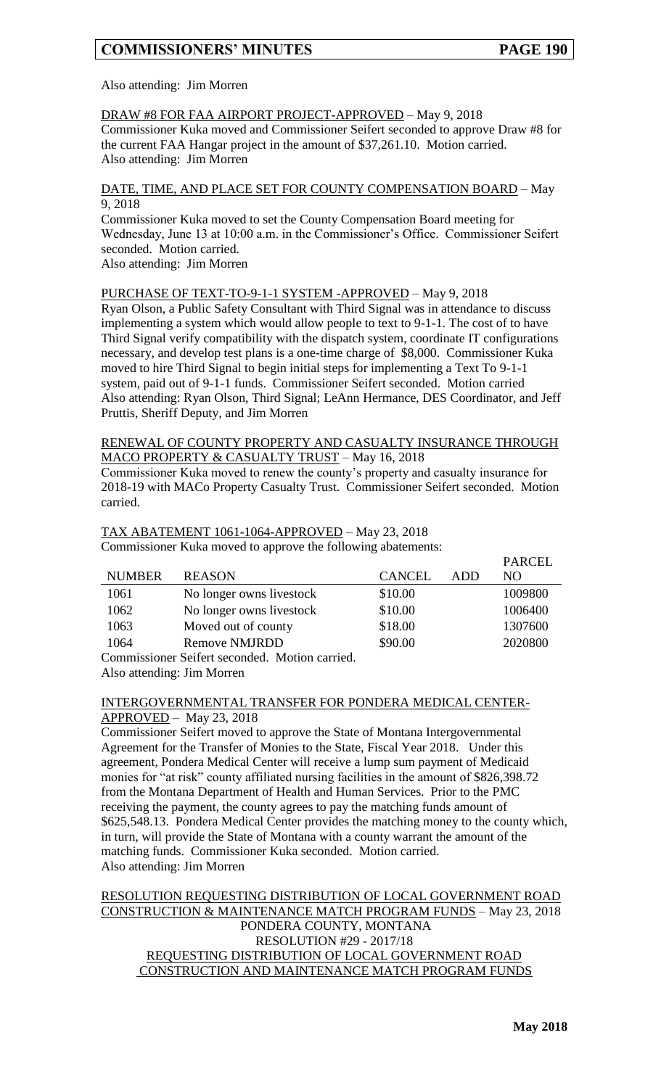PARCEL

## Also attending: Jim Morren

# DRAW #8 FOR FAA AIRPORT PROJECT-APPROVED – May 9, 2018

Commissioner Kuka moved and Commissioner Seifert seconded to approve Draw #8 for the current FAA Hangar project in the amount of \$37,261.10. Motion carried. Also attending: Jim Morren

#### DATE, TIME, AND PLACE SET FOR COUNTY COMPENSATION BOARD – May 9, 2018

Commissioner Kuka moved to set the County Compensation Board meeting for Wednesday, June 13 at 10:00 a.m. in the Commissioner's Office. Commissioner Seifert seconded. Motion carried.

Also attending: Jim Morren

## PURCHASE OF TEXT-TO-9-1-1 SYSTEM -APPROVED – May 9, 2018

Ryan Olson, a Public Safety Consultant with Third Signal was in attendance to discuss implementing a system which would allow people to text to 9-1-1. The cost of to have Third Signal verify compatibility with the dispatch system, coordinate IT configurations necessary, and develop test plans is a one-time charge of \$8,000. Commissioner Kuka moved to hire Third Signal to begin initial steps for implementing a Text To 9-1-1 system, paid out of 9-1-1 funds. Commissioner Seifert seconded. Motion carried Also attending: Ryan Olson, Third Signal; LeAnn Hermance, DES Coordinator, and Jeff Pruttis, Sheriff Deputy, and Jim Morren

## RENEWAL OF COUNTY PROPERTY AND CASUALTY INSURANCE THROUGH MACO PROPERTY & CASUALTY TRUST – May 16, 2018

Commissioner Kuka moved to renew the county's property and casualty insurance for 2018-19 with MACo Property Casualty Trust. Commissioner Seifert seconded. Motion carried.

## TAX ABATEMENT 1061-1064-APPROVED – May 23, 2018 Commissioner Kuka moved to approve the following abatements:

|                                             |                          |               |     | <b>PARCEL</b> |
|---------------------------------------------|--------------------------|---------------|-----|---------------|
| <b>NUMBER</b>                               | <b>REASON</b>            | <b>CANCEL</b> | ADD | NO.           |
| 1061                                        | No longer owns livestock | \$10.00       |     | 1009800       |
| 1062                                        | No longer owns livestock | \$10.00       |     | 1006400       |
| 1063                                        | Moved out of county      | \$18.00       |     | 1307600       |
| 1064                                        | <b>Remove NMJRDD</b>     | \$90.00       |     | 2020800       |
| Commissioner Coifert seconded Motion comicd |                          |               |     |               |

Commissioner Seifert seconded. Motion carried.

Also attending: Jim Morren

### INTERGOVERNMENTAL TRANSFER FOR PONDERA MEDICAL CENTER-APPROVED – May 23, 2018

Commissioner Seifert moved to approve the State of Montana Intergovernmental Agreement for the Transfer of Monies to the State, Fiscal Year 2018. Under this agreement, Pondera Medical Center will receive a lump sum payment of Medicaid monies for "at risk" county affiliated nursing facilities in the amount of \$826,398.72 from the Montana Department of Health and Human Services. Prior to the PMC receiving the payment, the county agrees to pay the matching funds amount of \$625,548.13. Pondera Medical Center provides the matching money to the county which, in turn, will provide the State of Montana with a county warrant the amount of the matching funds. Commissioner Kuka seconded. Motion carried. Also attending: Jim Morren

# RESOLUTION REQUESTING DISTRIBUTION OF LOCAL GOVERNMENT ROAD CONSTRUCTION & MAINTENANCE MATCH PROGRAM FUNDS – May 23, 2018 PONDERA COUNTY, MONTANA RESOLUTION #29 - 2017/18 REQUESTING DISTRIBUTION OF LOCAL GOVERNMENT ROAD CONSTRUCTION AND MAINTENANCE MATCH PROGRAM FUNDS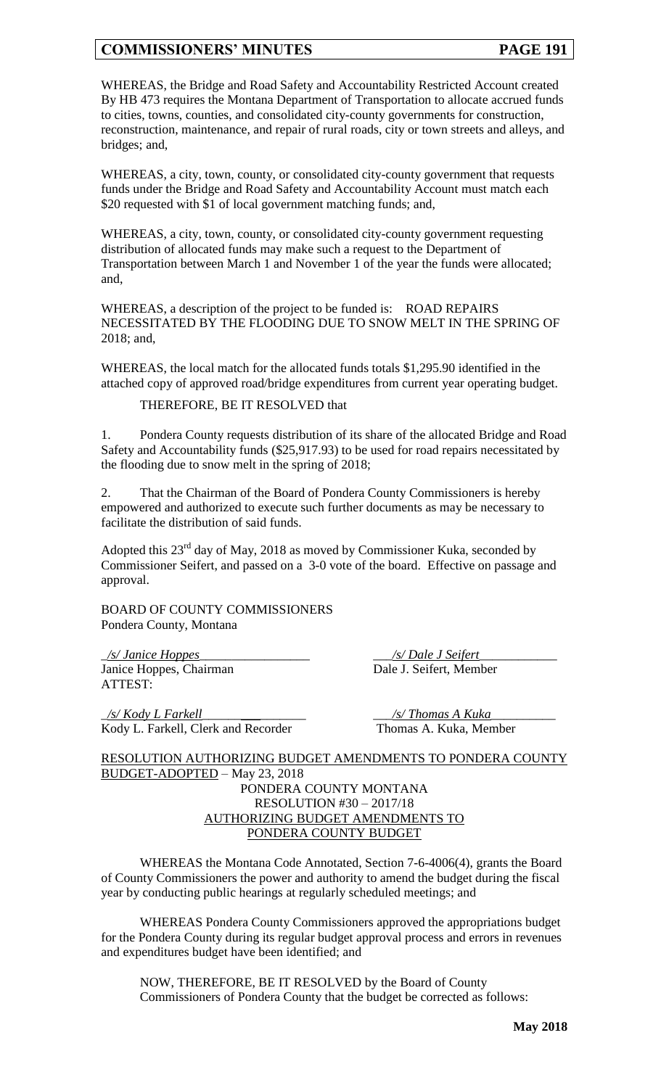WHEREAS, the Bridge and Road Safety and Accountability Restricted Account created By HB 473 requires the Montana Department of Transportation to allocate accrued funds to cities, towns, counties, and consolidated city-county governments for construction, reconstruction, maintenance, and repair of rural roads, city or town streets and alleys, and bridges; and,

WHEREAS, a city, town, county, or consolidated city-county government that requests funds under the Bridge and Road Safety and Accountability Account must match each \$20 requested with \$1 of local government matching funds; and,

WHEREAS, a city, town, county, or consolidated city-county government requesting distribution of allocated funds may make such a request to the Department of Transportation between March 1 and November 1 of the year the funds were allocated; and,

WHEREAS, a description of the project to be funded is: ROAD REPAIRS NECESSITATED BY THE FLOODING DUE TO SNOW MELT IN THE SPRING OF 2018; and,

WHEREAS, the local match for the allocated funds totals \$1,295.90 identified in the attached copy of approved road/bridge expenditures from current year operating budget.

THEREFORE, BE IT RESOLVED that

1. Pondera County requests distribution of its share of the allocated Bridge and Road Safety and Accountability funds (\$25,917.93) to be used for road repairs necessitated by the flooding due to snow melt in the spring of 2018;

That the Chairman of the Board of Pondera County Commissioners is hereby empowered and authorized to execute such further documents as may be necessary to facilitate the distribution of said funds.

Adopted this  $23<sup>rd</sup>$  day of May, 2018 as moved by Commissioner Kuka, seconded by Commissioner Seifert, and passed on a 3-0 vote of the board. Effective on passage and approval.

BOARD OF COUNTY COMMISSIONERS Pondera County, Montana

\_*/s/ Janice Hoppes*\_\_\_\_\_\_\_\_\_\_\_\_\_\_\_\_\_ \_\_\_*/s/ Dale J Seifert*\_\_\_\_\_\_\_\_\_\_\_\_ Janice Hoppes, Chairman Dale J. Seifert, Member ATTEST:

\_*/s/ Kody L Farkell*\_\_\_\_\_\_*\_\_\_*\_\_\_\_\_\_\_ \_\_\_*/s/ Thomas A Kuka*\_\_\_\_\_\_\_\_\_\_ Kody L. Farkell, Clerk and Recorder Thomas A. Kuka, Member

RESOLUTION AUTHORIZING BUDGET AMENDMENTS TO PONDERA COUNTY BUDGET-ADOPTED – May 23, 2018 PONDERA COUNTY MONTANA RESOLUTION #30 – 2017/18 AUTHORIZING BUDGET AMENDMENTS TO PONDERA COUNTY BUDGET

WHEREAS the Montana Code Annotated, Section 7-6-4006(4), grants the Board of County Commissioners the power and authority to amend the budget during the fiscal year by conducting public hearings at regularly scheduled meetings; and

WHEREAS Pondera County Commissioners approved the appropriations budget for the Pondera County during its regular budget approval process and errors in revenues and expenditures budget have been identified; and

NOW, THEREFORE, BE IT RESOLVED by the Board of County Commissioners of Pondera County that the budget be corrected as follows: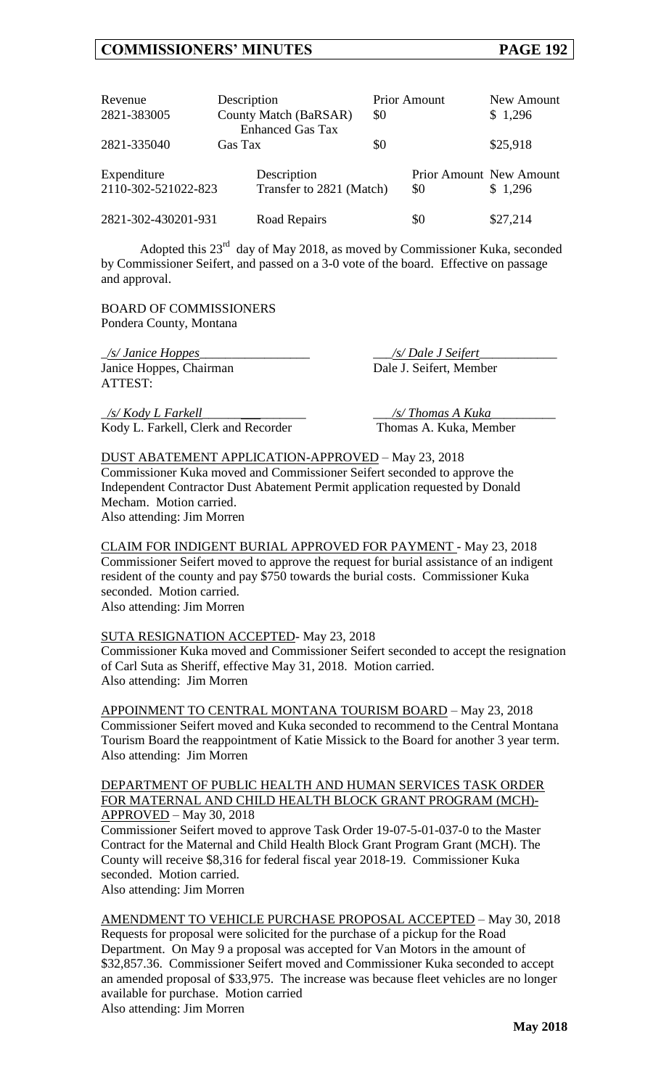| Revenue<br>2821-383005             | Description<br>County Match (BaRSAR)<br><b>Enhanced Gas Tax</b> |                                         | <b>Prior Amount</b><br>\$0 |     | New Amount<br>\$1,296                     |
|------------------------------------|-----------------------------------------------------------------|-----------------------------------------|----------------------------|-----|-------------------------------------------|
| 2821-335040                        | Gas Tax                                                         |                                         | \$0                        |     | \$25,918                                  |
| Expenditure<br>2110-302-521022-823 |                                                                 | Description<br>Transfer to 2821 (Match) |                            | \$0 | <b>Prior Amount New Amount</b><br>\$1,296 |
| 2821-302-430201-931                |                                                                 | Road Repairs                            |                            | \$0 | \$27,214                                  |

Adopted this  $23^{rd}$  day of May 2018, as moved by Commissioner Kuka, seconded by Commissioner Seifert, and passed on a 3-0 vote of the board. Effective on passage and approval.

BOARD OF COMMISSIONERS Pondera County, Montana

\_*/s/ Janice Hoppes*\_\_\_\_\_\_\_\_\_\_\_\_\_\_\_\_\_ \_\_\_*/s/ Dale J Seifert*\_\_\_\_\_\_\_\_\_\_\_\_ Janice Hoppes, Chairman Dale J. Seifert, Member ATTEST:

\_*/s/ Kody L Farkell*\_\_\_\_\_\_*\_\_\_*\_\_\_\_\_\_\_ \_\_\_*/s/ Thomas A Kuka*\_\_\_\_\_\_\_\_\_\_ Kody L. Farkell, Clerk and Recorder Thomas A. Kuka, Member

DUST ABATEMENT APPLICATION-APPROVED – May 23, 2018 Commissioner Kuka moved and Commissioner Seifert seconded to approve the Independent Contractor Dust Abatement Permit application requested by Donald Mecham. Motion carried. Also attending: Jim Morren

CLAIM FOR INDIGENT BURIAL APPROVED FOR PAYMENT - May 23, 2018 Commissioner Seifert moved to approve the request for burial assistance of an indigent resident of the county and pay \$750 towards the burial costs. Commissioner Kuka seconded. Motion carried.

Also attending: Jim Morren

#### SUTA RESIGNATION ACCEPTED- May 23, 2018

Commissioner Kuka moved and Commissioner Seifert seconded to accept the resignation of Carl Suta as Sheriff, effective May 31, 2018. Motion carried. Also attending: Jim Morren

APPOINMENT TO CENTRAL MONTANA TOURISM BOARD – May 23, 2018 Commissioner Seifert moved and Kuka seconded to recommend to the Central Montana Tourism Board the reappointment of Katie Missick to the Board for another 3 year term. Also attending: Jim Morren

DEPARTMENT OF PUBLIC HEALTH AND HUMAN SERVICES TASK ORDER FOR MATERNAL AND CHILD HEALTH BLOCK GRANT PROGRAM (MCH)- APPROVED – May 30, 2018

Commissioner Seifert moved to approve Task Order 19-07-5-01-037-0 to the Master Contract for the Maternal and Child Health Block Grant Program Grant (MCH). The County will receive \$8,316 for federal fiscal year 2018-19. Commissioner Kuka seconded. Motion carried.

Also attending: Jim Morren

AMENDMENT TO VEHICLE PURCHASE PROPOSAL ACCEPTED – May 30, 2018 Requests for proposal were solicited for the purchase of a pickup for the Road Department. On May 9 a proposal was accepted for Van Motors in the amount of \$32,857.36. Commissioner Seifert moved and Commissioner Kuka seconded to accept an amended proposal of \$33,975. The increase was because fleet vehicles are no longer available for purchase. Motion carried Also attending: Jim Morren